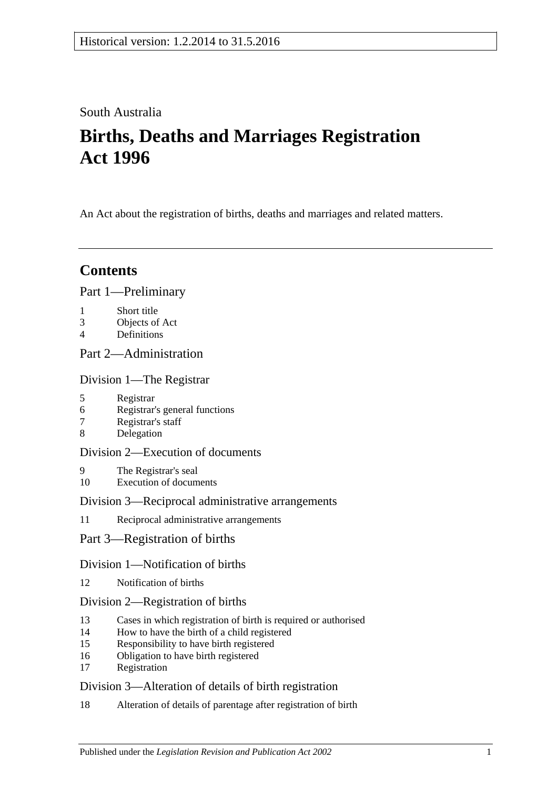## South Australia

# **Births, Deaths and Marriages Registration Act 1996**

An Act about the registration of births, deaths and marriages and related matters.

## **Contents**

[Part 1—Preliminary](#page-2-0)

- 1 [Short title](#page-2-1)
- 3 [Objects of Act](#page-2-2)
- 4 [Definitions](#page-3-0)

## [Part 2—Administration](#page-4-0)

[Division 1—The Registrar](#page-4-1)

- 5 [Registrar](#page-4-2)
- 6 [Registrar's general functions](#page-4-3)
- 7 [Registrar's staff](#page-5-0)
- 8 [Delegation](#page-5-1)

### [Division 2—Execution of documents](#page-5-2)

- 9 [The Registrar's seal](#page-5-3)
- 10 [Execution of documents](#page-5-4)

#### [Division 3—Reciprocal administrative arrangements](#page-5-5)

- 11 [Reciprocal administrative arrangements](#page-5-6)
- [Part 3—Registration of births](#page-6-0)

#### [Division 1—Notification of births](#page-6-1)

12 [Notification of births](#page-6-2)

#### [Division 2—Registration of births](#page-7-0)

- 13 [Cases in which registration of birth is required or authorised](#page-7-1)
- 14 [How to have the birth of a child registered](#page-7-2)
- 15 [Responsibility to have birth registered](#page-7-3)
- 16 [Obligation to have birth registered](#page-7-4)
- 17 [Registration](#page-8-0)

#### [Division 3—Alteration of details of birth registration](#page-8-1)

18 [Alteration of details of parentage after registration of birth](#page-8-2)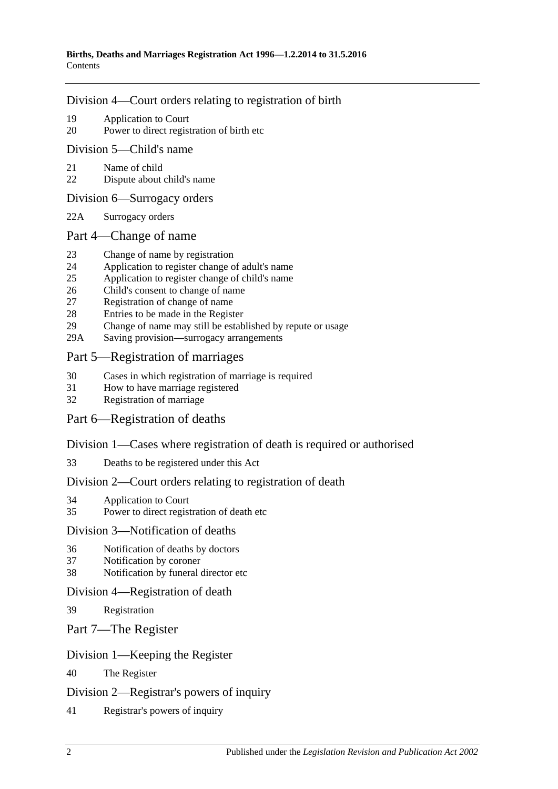#### [Division 4—Court orders relating to registration of birth](#page-8-3)

- 19 [Application to Court](#page-8-4)
- 20 [Power to direct registration of birth etc](#page-9-0)

#### [Division 5—Child's name](#page-9-1)

- 21 [Name of child](#page-9-2)
- 22 [Dispute about child's name](#page-9-3)

#### [Division 6—Surrogacy orders](#page-9-4)

22A [Surrogacy orders](#page-9-5)

#### [Part 4—Change of name](#page-10-0)

- 23 [Change of name by registration](#page-10-1)
- 24 [Application to register change of adult's name](#page-10-2)
- 25 [Application to register change of child's name](#page-10-3)
- 26 [Child's consent to change of name](#page-11-0)
- 27 [Registration of change of name](#page-11-1)
- 28 [Entries to be made in the Register](#page-11-2)
- 29 [Change of name may still be established by repute or usage](#page-12-0)
- 29A [Saving provision—surrogacy arrangements](#page-12-1)

#### [Part 5—Registration of marriages](#page-12-2)

- 30 [Cases in which registration of marriage is required](#page-12-3)
- 31 [How to have marriage registered](#page-12-4)
- 32 [Registration of marriage](#page-12-5)

#### [Part 6—Registration of deaths](#page-12-6)

#### [Division 1—Cases where registration of death is required or authorised](#page-12-7)

33 [Deaths to be registered under this Act](#page-12-8)

#### [Division 2—Court orders relating to registration of death](#page-13-0)

- 34 [Application to Court](#page-13-1)
- 35 [Power to direct registration of death etc](#page-13-2)

#### [Division 3—Notification of deaths](#page-13-3)

- 36 [Notification of deaths by doctors](#page-13-4)
- 37 [Notification by coroner](#page-14-0)
- 38 [Notification by funeral director etc](#page-14-1)

#### [Division 4—Registration of death](#page-15-0)

- 39 [Registration](#page-15-1)
- [Part 7—The Register](#page-15-2)

#### [Division 1—Keeping the Register](#page-15-3)

40 [The Register](#page-15-4)

#### [Division 2—Registrar's powers of inquiry](#page-15-5)

41 [Registrar's powers of inquiry](#page-15-6)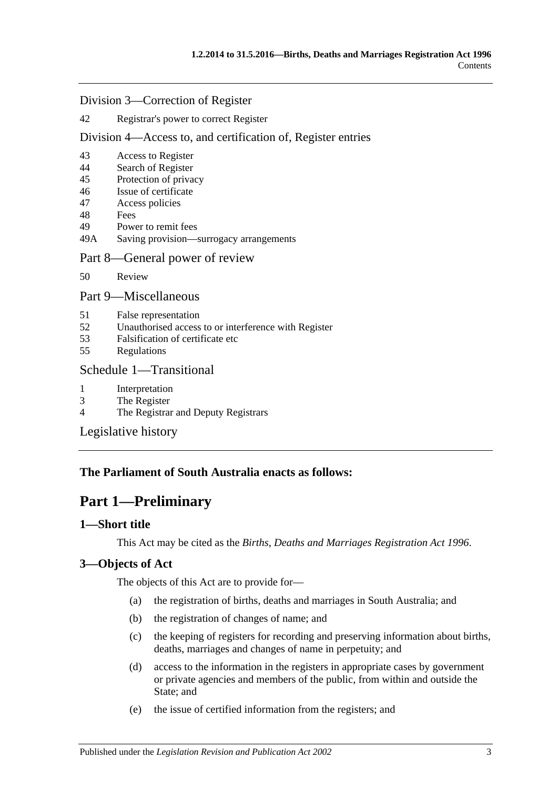#### [Division 3—Correction of Register](#page-16-0)

#### 42 [Registrar's power to correct Register](#page-16-1)

#### [Division 4—Access to, and certification of, Register entries](#page-16-2)

- 43 [Access to Register](#page-16-3)
- 44 [Search of Register](#page-16-4)
- 45 [Protection of privacy](#page-17-0)
- 46 [Issue of certificate](#page-17-1)
- 47 [Access policies](#page-17-2)
- 48 [Fees](#page-17-3)
- 49 [Power to remit fees](#page-17-4)
- 49A [Saving provision—surrogacy arrangements](#page-18-0)

#### [Part 8—General power of review](#page-18-1)

50 [Review](#page-18-2)

#### [Part 9—Miscellaneous](#page-18-3)

- 51 [False representation](#page-18-4)
- 52 [Unauthorised access to or interference with Register](#page-18-5)
- 53 [Falsification of certificate etc](#page-18-6)
- 55 [Regulations](#page-19-0)

#### [Schedule 1—Transitional](#page-19-1)

- 1 [Interpretation](#page-19-2)
- 3 [The Register](#page-19-3)
- 4 [The Registrar and Deputy Registrars](#page-19-4)

[Legislative history](#page-20-0)

## <span id="page-2-0"></span>**The Parliament of South Australia enacts as follows:**

## **Part 1—Preliminary**

#### <span id="page-2-1"></span>**1—Short title**

This Act may be cited as the *Births, Deaths and Marriages Registration Act 1996*.

#### <span id="page-2-2"></span>**3—Objects of Act**

The objects of this Act are to provide for—

- (a) the registration of births, deaths and marriages in South Australia; and
- (b) the registration of changes of name; and
- (c) the keeping of registers for recording and preserving information about births, deaths, marriages and changes of name in perpetuity; and
- (d) access to the information in the registers in appropriate cases by government or private agencies and members of the public, from within and outside the State; and
- (e) the issue of certified information from the registers; and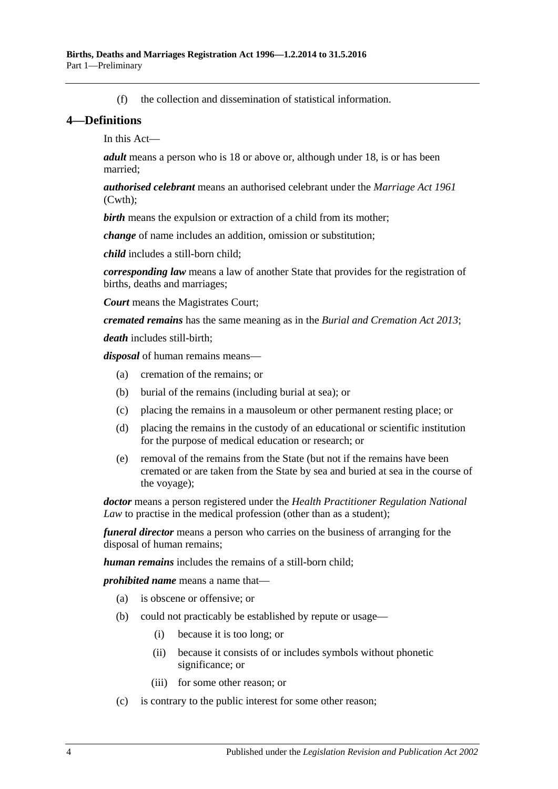(f) the collection and dissemination of statistical information.

#### <span id="page-3-0"></span>**4—Definitions**

In this Act—

*adult* means a person who is 18 or above or, although under 18, is or has been married;

*authorised celebrant* means an authorised celebrant under the *Marriage Act 1961* (Cwth);

**birth** means the expulsion or extraction of a child from its mother;

*change* of name includes an addition, omission or substitution;

*child* includes a still-born child;

*corresponding law* means a law of another State that provides for the registration of births, deaths and marriages;

*Court* means the Magistrates Court;

*cremated remains* has the same meaning as in the *[Burial and Cremation Act](http://www.legislation.sa.gov.au/index.aspx?action=legref&type=act&legtitle=Burial%20and%20Cremation%20Act%202013) 2013*;

*death* includes still-birth;

*disposal* of human remains means—

- (a) cremation of the remains; or
- (b) burial of the remains (including burial at sea); or
- (c) placing the remains in a mausoleum or other permanent resting place; or
- (d) placing the remains in the custody of an educational or scientific institution for the purpose of medical education or research; or
- (e) removal of the remains from the State (but not if the remains have been cremated or are taken from the State by sea and buried at sea in the course of the voyage);

*doctor* means a person registered under the *Health Practitioner Regulation National Law* to practise in the medical profession (other than as a student);

*funeral director* means a person who carries on the business of arranging for the disposal of human remains;

*human remains* includes the remains of a still-born child;

*prohibited name* means a name that—

- (a) is obscene or offensive; or
- (b) could not practicably be established by repute or usage—
	- (i) because it is too long; or
	- (ii) because it consists of or includes symbols without phonetic significance; or
	- (iii) for some other reason; or
- (c) is contrary to the public interest for some other reason;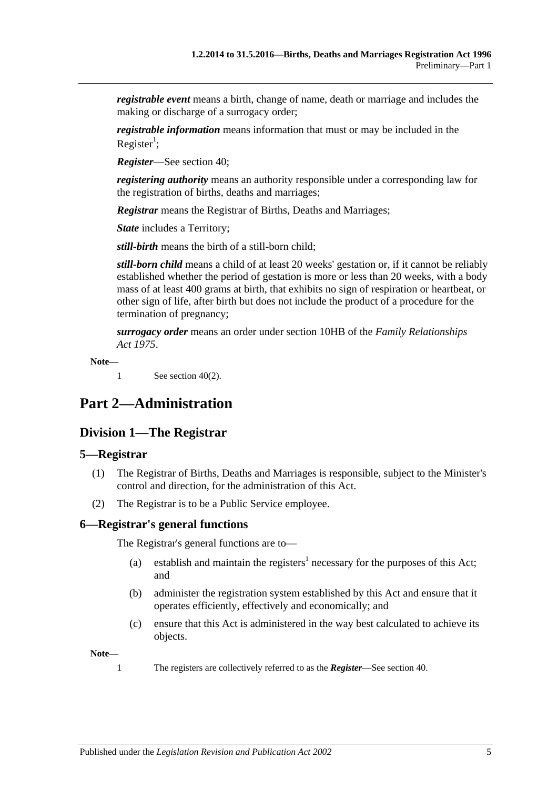*registrable event* means a birth, change of name, death or marriage and includes the making or discharge of a surrogacy order;

*registrable information* means information that must or may be included in the Register<sup>1</sup>;

*Register*—See [section](#page-15-4) 40;

*registering authority* means an authority responsible under a corresponding law for the registration of births, deaths and marriages;

*Registrar* means the Registrar of Births, Deaths and Marriages;

*State* includes a Territory;

*still-birth* means the birth of a still-born child;

*still-born child* means a child of at least 20 weeks' gestation or, if it cannot be reliably established whether the period of gestation is more or less than 20 weeks, with a body mass of at least 400 grams at birth, that exhibits no sign of respiration or heartbeat, or other sign of life, after birth but does not include the product of a procedure for the termination of pregnancy;

*surrogacy order* means an order under section 10HB of the *[Family Relationships](http://www.legislation.sa.gov.au/index.aspx?action=legref&type=act&legtitle=Family%20Relationships%20Act%201975)  Act [1975](http://www.legislation.sa.gov.au/index.aspx?action=legref&type=act&legtitle=Family%20Relationships%20Act%201975)*.

**Note—**

1 See [section](#page-15-7) 40(2).

## <span id="page-4-1"></span><span id="page-4-0"></span>**Part 2—Administration**

## **Division 1—The Registrar**

#### <span id="page-4-2"></span>**5—Registrar**

- (1) The Registrar of Births, Deaths and Marriages is responsible, subject to the Minister's control and direction, for the administration of this Act.
- (2) The Registrar is to be a Public Service employee.

#### <span id="page-4-3"></span>**6—Registrar's general functions**

The Registrar's general functions are to—

- (a) establish and maintain the registers<sup>1</sup> necessary for the purposes of this Act; and
- (b) administer the registration system established by this Act and ensure that it operates efficiently, effectively and economically; and
- (c) ensure that this Act is administered in the way best calculated to achieve its objects.

**Note—**

1 The registers are collectively referred to as the *Register*—See [section](#page-15-4) 40.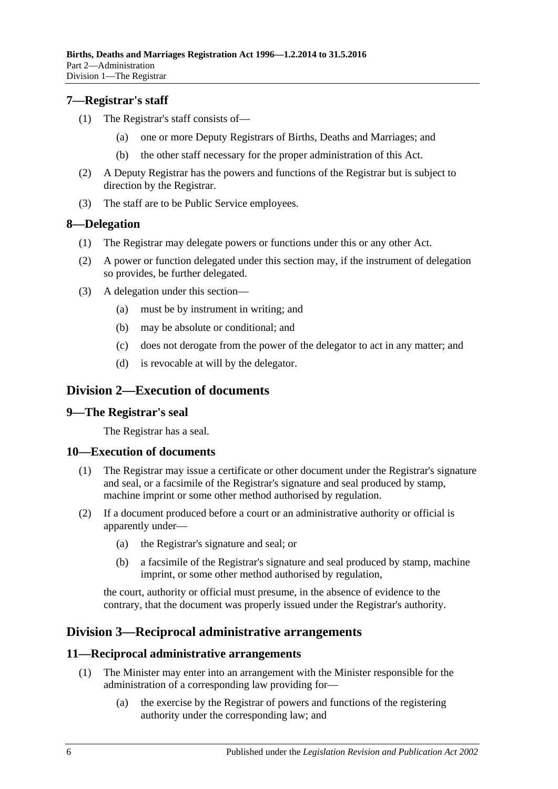#### <span id="page-5-0"></span>**7—Registrar's staff**

- (1) The Registrar's staff consists of—
	- (a) one or more Deputy Registrars of Births, Deaths and Marriages; and
	- (b) the other staff necessary for the proper administration of this Act.
- (2) A Deputy Registrar has the powers and functions of the Registrar but is subject to direction by the Registrar.
- (3) The staff are to be Public Service employees.

#### <span id="page-5-1"></span>**8—Delegation**

- (1) The Registrar may delegate powers or functions under this or any other Act.
- (2) A power or function delegated under this section may, if the instrument of delegation so provides, be further delegated.
- (3) A delegation under this section—
	- (a) must be by instrument in writing; and
	- (b) may be absolute or conditional; and
	- (c) does not derogate from the power of the delegator to act in any matter; and
	- (d) is revocable at will by the delegator.

## <span id="page-5-2"></span>**Division 2—Execution of documents**

#### <span id="page-5-3"></span>**9—The Registrar's seal**

The Registrar has a seal.

#### <span id="page-5-4"></span>**10—Execution of documents**

- (1) The Registrar may issue a certificate or other document under the Registrar's signature and seal, or a facsimile of the Registrar's signature and seal produced by stamp, machine imprint or some other method authorised by regulation.
- (2) If a document produced before a court or an administrative authority or official is apparently under—
	- (a) the Registrar's signature and seal; or
	- (b) a facsimile of the Registrar's signature and seal produced by stamp, machine imprint, or some other method authorised by regulation,

the court, authority or official must presume, in the absence of evidence to the contrary, that the document was properly issued under the Registrar's authority.

## <span id="page-5-5"></span>**Division 3—Reciprocal administrative arrangements**

#### <span id="page-5-6"></span>**11—Reciprocal administrative arrangements**

- (1) The Minister may enter into an arrangement with the Minister responsible for the administration of a corresponding law providing for—
	- (a) the exercise by the Registrar of powers and functions of the registering authority under the corresponding law; and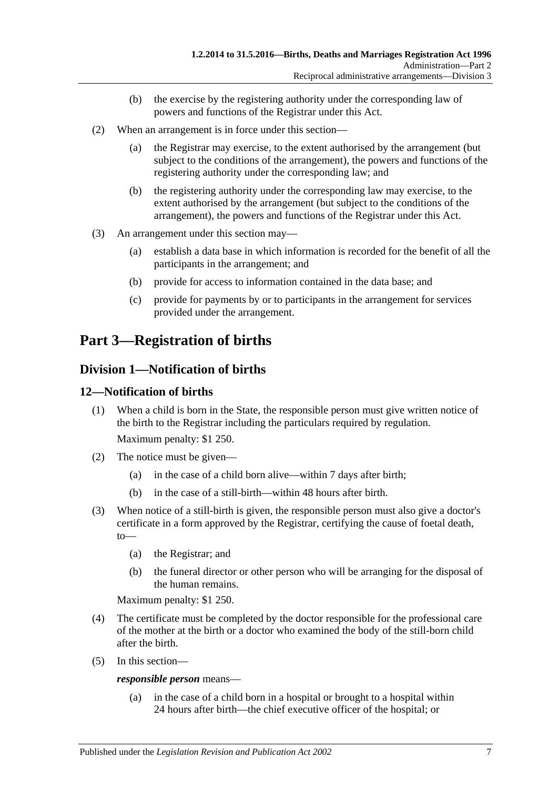- (b) the exercise by the registering authority under the corresponding law of powers and functions of the Registrar under this Act.
- (2) When an arrangement is in force under this section—
	- (a) the Registrar may exercise, to the extent authorised by the arrangement (but subject to the conditions of the arrangement), the powers and functions of the registering authority under the corresponding law; and
	- (b) the registering authority under the corresponding law may exercise, to the extent authorised by the arrangement (but subject to the conditions of the arrangement), the powers and functions of the Registrar under this Act.
- (3) An arrangement under this section may—
	- (a) establish a data base in which information is recorded for the benefit of all the participants in the arrangement; and
	- (b) provide for access to information contained in the data base; and
	- (c) provide for payments by or to participants in the arrangement for services provided under the arrangement.

# <span id="page-6-0"></span>**Part 3—Registration of births**

## <span id="page-6-1"></span>**Division 1—Notification of births**

### <span id="page-6-2"></span>**12—Notification of births**

(1) When a child is born in the State, the responsible person must give written notice of the birth to the Registrar including the particulars required by regulation.

Maximum penalty: \$1 250.

- (2) The notice must be given—
	- (a) in the case of a child born alive—within 7 days after birth;
	- (b) in the case of a still-birth—within 48 hours after birth.
- (3) When notice of a still-birth is given, the responsible person must also give a doctor's certificate in a form approved by the Registrar, certifying the cause of foetal death, to—
	- (a) the Registrar; and
	- (b) the funeral director or other person who will be arranging for the disposal of the human remains.

Maximum penalty: \$1 250.

- (4) The certificate must be completed by the doctor responsible for the professional care of the mother at the birth or a doctor who examined the body of the still-born child after the birth.
- (5) In this section—

*responsible person* means—

(a) in the case of a child born in a hospital or brought to a hospital within 24 hours after birth—the chief executive officer of the hospital; or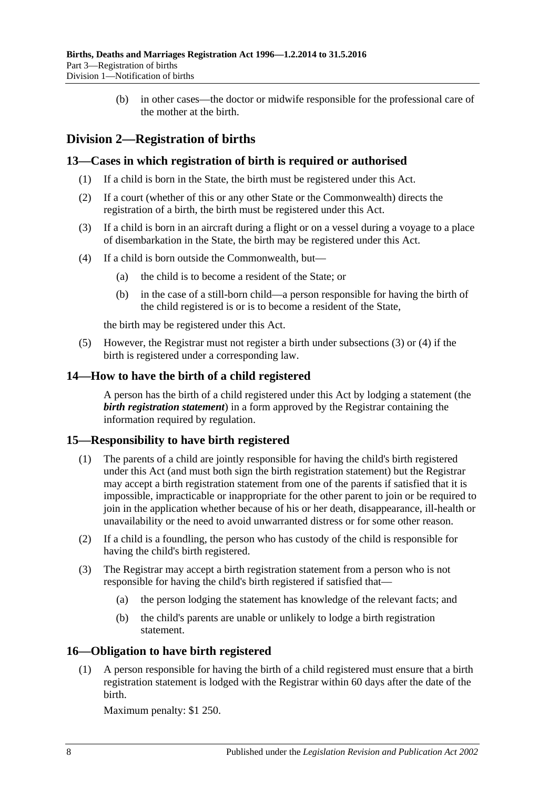(b) in other cases—the doctor or midwife responsible for the professional care of the mother at the birth.

## <span id="page-7-0"></span>**Division 2—Registration of births**

#### <span id="page-7-1"></span>**13—Cases in which registration of birth is required or authorised**

- (1) If a child is born in the State, the birth must be registered under this Act.
- (2) If a court (whether of this or any other State or the Commonwealth) directs the registration of a birth, the birth must be registered under this Act.
- <span id="page-7-5"></span>(3) If a child is born in an aircraft during a flight or on a vessel during a voyage to a place of disembarkation in the State, the birth may be registered under this Act.
- <span id="page-7-6"></span>(4) If a child is born outside the Commonwealth, but—
	- (a) the child is to become a resident of the State; or
	- (b) in the case of a still-born child—a person responsible for having the birth of the child registered is or is to become a resident of the State,

the birth may be registered under this Act.

(5) However, the Registrar must not register a birth under [subsections](#page-7-5) (3) or [\(4\)](#page-7-6) if the birth is registered under a corresponding law.

### <span id="page-7-2"></span>**14—How to have the birth of a child registered**

A person has the birth of a child registered under this Act by lodging a statement (the *birth registration statement*) in a form approved by the Registrar containing the information required by regulation.

## <span id="page-7-3"></span>**15—Responsibility to have birth registered**

- (1) The parents of a child are jointly responsible for having the child's birth registered under this Act (and must both sign the birth registration statement) but the Registrar may accept a birth registration statement from one of the parents if satisfied that it is impossible, impracticable or inappropriate for the other parent to join or be required to join in the application whether because of his or her death, disappearance, ill-health or unavailability or the need to avoid unwarranted distress or for some other reason.
- (2) If a child is a foundling, the person who has custody of the child is responsible for having the child's birth registered.
- (3) The Registrar may accept a birth registration statement from a person who is not responsible for having the child's birth registered if satisfied that—
	- (a) the person lodging the statement has knowledge of the relevant facts; and
	- (b) the child's parents are unable or unlikely to lodge a birth registration statement.

## <span id="page-7-4"></span>**16—Obligation to have birth registered**

(1) A person responsible for having the birth of a child registered must ensure that a birth registration statement is lodged with the Registrar within 60 days after the date of the birth.

Maximum penalty: \$1 250.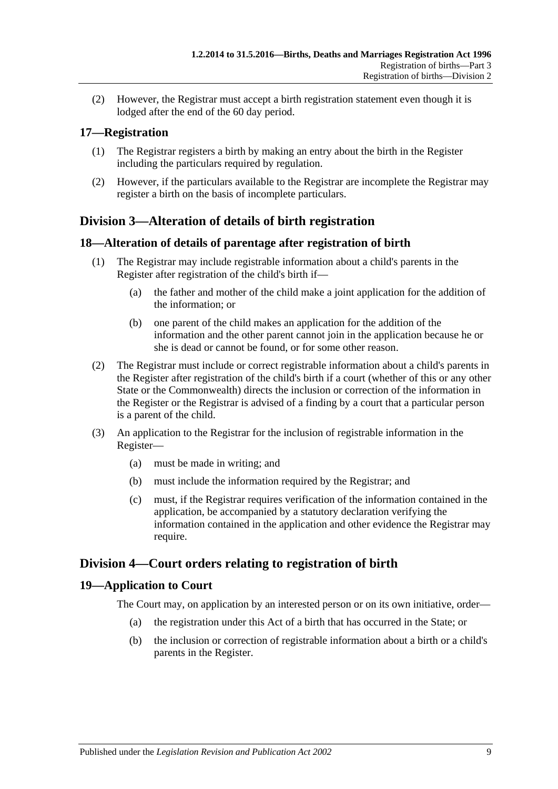(2) However, the Registrar must accept a birth registration statement even though it is lodged after the end of the 60 day period.

## <span id="page-8-0"></span>**17—Registration**

- (1) The Registrar registers a birth by making an entry about the birth in the Register including the particulars required by regulation.
- (2) However, if the particulars available to the Registrar are incomplete the Registrar may register a birth on the basis of incomplete particulars.

## <span id="page-8-1"></span>**Division 3—Alteration of details of birth registration**

### <span id="page-8-2"></span>**18—Alteration of details of parentage after registration of birth**

- (1) The Registrar may include registrable information about a child's parents in the Register after registration of the child's birth if—
	- (a) the father and mother of the child make a joint application for the addition of the information; or
	- (b) one parent of the child makes an application for the addition of the information and the other parent cannot join in the application because he or she is dead or cannot be found, or for some other reason.
- (2) The Registrar must include or correct registrable information about a child's parents in the Register after registration of the child's birth if a court (whether of this or any other State or the Commonwealth) directs the inclusion or correction of the information in the Register or the Registrar is advised of a finding by a court that a particular person is a parent of the child.
- (3) An application to the Registrar for the inclusion of registrable information in the Register—
	- (a) must be made in writing; and
	- (b) must include the information required by the Registrar; and
	- (c) must, if the Registrar requires verification of the information contained in the application, be accompanied by a statutory declaration verifying the information contained in the application and other evidence the Registrar may require.

## <span id="page-8-3"></span>**Division 4—Court orders relating to registration of birth**

#### <span id="page-8-4"></span>**19—Application to Court**

The Court may, on application by an interested person or on its own initiative, order—

- (a) the registration under this Act of a birth that has occurred in the State; or
- (b) the inclusion or correction of registrable information about a birth or a child's parents in the Register.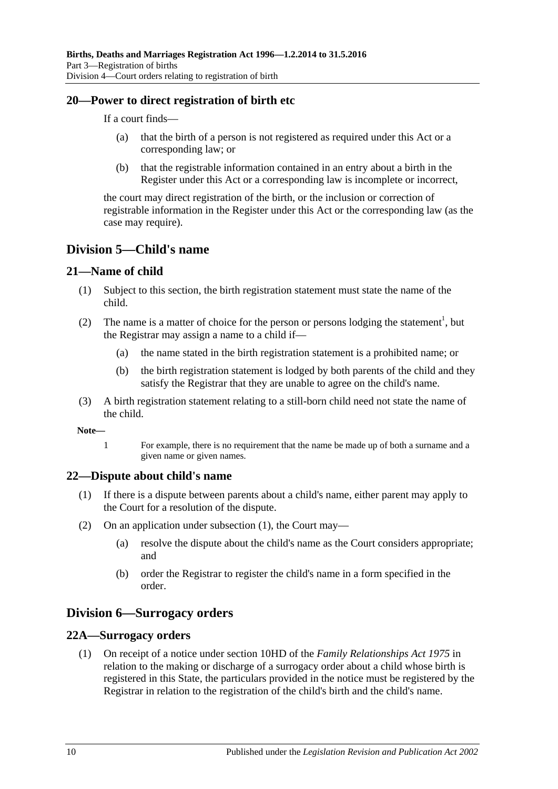#### <span id="page-9-0"></span>**20—Power to direct registration of birth etc**

If a court finds—

- (a) that the birth of a person is not registered as required under this Act or a corresponding law; or
- (b) that the registrable information contained in an entry about a birth in the Register under this Act or a corresponding law is incomplete or incorrect,

the court may direct registration of the birth, or the inclusion or correction of registrable information in the Register under this Act or the corresponding law (as the case may require).

## <span id="page-9-1"></span>**Division 5—Child's name**

#### <span id="page-9-2"></span>**21—Name of child**

- (1) Subject to this section, the birth registration statement must state the name of the child.
- (2) The name is a matter of choice for the person or persons lodging the statement<sup>1</sup>, but the Registrar may assign a name to a child if—
	- (a) the name stated in the birth registration statement is a prohibited name; or
	- (b) the birth registration statement is lodged by both parents of the child and they satisfy the Registrar that they are unable to agree on the child's name.
- (3) A birth registration statement relating to a still-born child need not state the name of the child.

**Note—**

1 For example, there is no requirement that the name be made up of both a surname and a given name or given names.

#### <span id="page-9-6"></span><span id="page-9-3"></span>**22—Dispute about child's name**

- (1) If there is a dispute between parents about a child's name, either parent may apply to the Court for a resolution of the dispute.
- (2) On an application under [subsection](#page-9-6) (1), the Court may—
	- (a) resolve the dispute about the child's name as the Court considers appropriate; and
	- (b) order the Registrar to register the child's name in a form specified in the order.

## <span id="page-9-4"></span>**Division 6—Surrogacy orders**

#### <span id="page-9-7"></span><span id="page-9-5"></span>**22A—Surrogacy orders**

(1) On receipt of a notice under section 10HD of the *[Family Relationships Act](http://www.legislation.sa.gov.au/index.aspx?action=legref&type=act&legtitle=Family%20Relationships%20Act%201975) 1975* in relation to the making or discharge of a surrogacy order about a child whose birth is registered in this State, the particulars provided in the notice must be registered by the Registrar in relation to the registration of the child's birth and the child's name.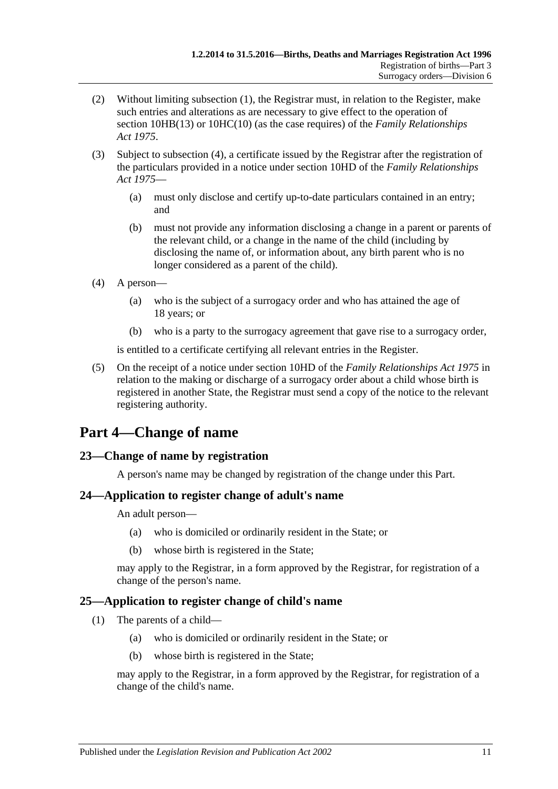- (2) Without limiting [subsection](#page-9-7) (1), the Registrar must, in relation to the Register, make such entries and alterations as are necessary to give effect to the operation of section 10HB(13) or 10HC(10) (as the case requires) of the *[Family Relationships](http://www.legislation.sa.gov.au/index.aspx?action=legref&type=act&legtitle=Family%20Relationships%20Act%201975)  Act [1975](http://www.legislation.sa.gov.au/index.aspx?action=legref&type=act&legtitle=Family%20Relationships%20Act%201975)*.
- (3) Subject to [subsection](#page-10-4) (4), a certificate issued by the Registrar after the registration of the particulars provided in a notice under section 10HD of the *[Family Relationships](http://www.legislation.sa.gov.au/index.aspx?action=legref&type=act&legtitle=Family%20Relationships%20Act%201975)  Act [1975](http://www.legislation.sa.gov.au/index.aspx?action=legref&type=act&legtitle=Family%20Relationships%20Act%201975)*—
	- (a) must only disclose and certify up-to-date particulars contained in an entry; and
	- (b) must not provide any information disclosing a change in a parent or parents of the relevant child, or a change in the name of the child (including by disclosing the name of, or information about, any birth parent who is no longer considered as a parent of the child).
- <span id="page-10-4"></span>(4) A person—
	- (a) who is the subject of a surrogacy order and who has attained the age of 18 years; or
	- (b) who is a party to the surrogacy agreement that gave rise to a surrogacy order,

is entitled to a certificate certifying all relevant entries in the Register.

(5) On the receipt of a notice under section 10HD of the *[Family Relationships Act](http://www.legislation.sa.gov.au/index.aspx?action=legref&type=act&legtitle=Family%20Relationships%20Act%201975) 1975* in relation to the making or discharge of a surrogacy order about a child whose birth is registered in another State, the Registrar must send a copy of the notice to the relevant registering authority.

# <span id="page-10-0"></span>**Part 4—Change of name**

## <span id="page-10-1"></span>**23—Change of name by registration**

A person's name may be changed by registration of the change under this Part.

#### <span id="page-10-2"></span>**24—Application to register change of adult's name**

An adult person—

- (a) who is domiciled or ordinarily resident in the State; or
- (b) whose birth is registered in the State;

may apply to the Registrar, in a form approved by the Registrar, for registration of a change of the person's name.

## <span id="page-10-3"></span>**25—Application to register change of child's name**

- (1) The parents of a child—
	- (a) who is domiciled or ordinarily resident in the State; or
	- (b) whose birth is registered in the State;

may apply to the Registrar, in a form approved by the Registrar, for registration of a change of the child's name.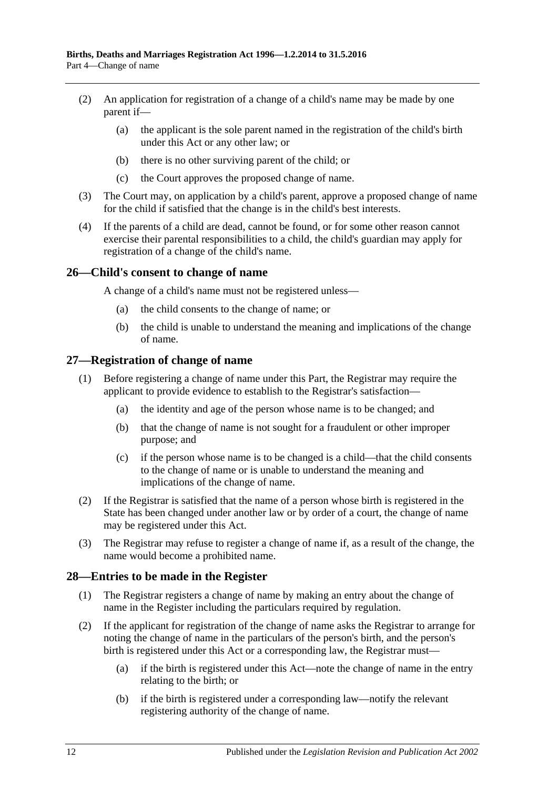- (2) An application for registration of a change of a child's name may be made by one parent if—
	- (a) the applicant is the sole parent named in the registration of the child's birth under this Act or any other law; or
	- (b) there is no other surviving parent of the child; or
	- (c) the Court approves the proposed change of name.
- (3) The Court may, on application by a child's parent, approve a proposed change of name for the child if satisfied that the change is in the child's best interests.
- (4) If the parents of a child are dead, cannot be found, or for some other reason cannot exercise their parental responsibilities to a child, the child's guardian may apply for registration of a change of the child's name.

#### <span id="page-11-0"></span>**26—Child's consent to change of name**

A change of a child's name must not be registered unless—

- (a) the child consents to the change of name; or
- (b) the child is unable to understand the meaning and implications of the change of name.

#### <span id="page-11-1"></span>**27—Registration of change of name**

- (1) Before registering a change of name under this Part, the Registrar may require the applicant to provide evidence to establish to the Registrar's satisfaction—
	- (a) the identity and age of the person whose name is to be changed; and
	- (b) that the change of name is not sought for a fraudulent or other improper purpose; and
	- (c) if the person whose name is to be changed is a child—that the child consents to the change of name or is unable to understand the meaning and implications of the change of name.
- (2) If the Registrar is satisfied that the name of a person whose birth is registered in the State has been changed under another law or by order of a court, the change of name may be registered under this Act.
- (3) The Registrar may refuse to register a change of name if, as a result of the change, the name would become a prohibited name.

#### <span id="page-11-2"></span>**28—Entries to be made in the Register**

- (1) The Registrar registers a change of name by making an entry about the change of name in the Register including the particulars required by regulation.
- <span id="page-11-3"></span>(2) If the applicant for registration of the change of name asks the Registrar to arrange for noting the change of name in the particulars of the person's birth, and the person's birth is registered under this Act or a corresponding law, the Registrar must—
	- (a) if the birth is registered under this Act—note the change of name in the entry relating to the birth; or
	- (b) if the birth is registered under a corresponding law—notify the relevant registering authority of the change of name.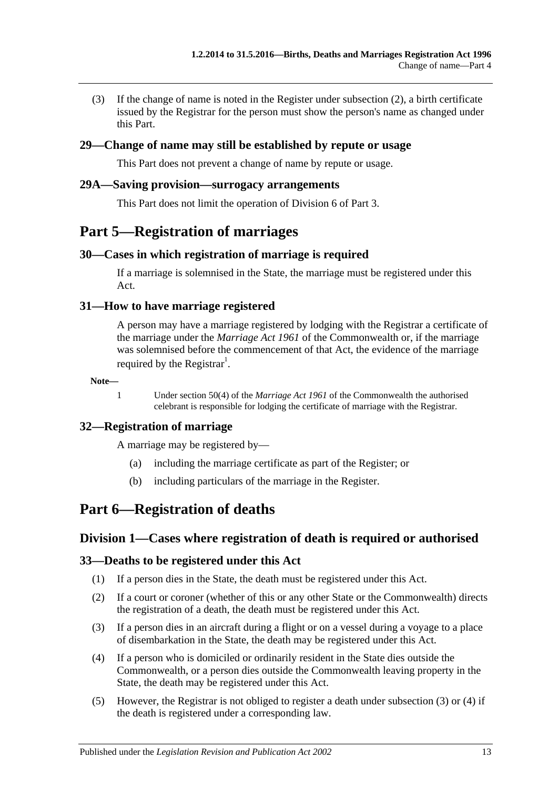(3) If the change of name is noted in the Register under [subsection](#page-11-3) (2), a birth certificate issued by the Registrar for the person must show the person's name as changed under this Part.

#### <span id="page-12-0"></span>**29—Change of name may still be established by repute or usage**

This Part does not prevent a change of name by repute or usage.

#### <span id="page-12-1"></span>**29A—Saving provision—surrogacy arrangements**

This Part does not limit the operation of [Division 6](#page-9-4) of [Part 3.](#page-6-0)

## <span id="page-12-2"></span>**Part 5—Registration of marriages**

#### <span id="page-12-3"></span>**30—Cases in which registration of marriage is required**

If a marriage is solemnised in the State, the marriage must be registered under this Act.

#### <span id="page-12-4"></span>**31—How to have marriage registered**

A person may have a marriage registered by lodging with the Registrar a certificate of the marriage under the *Marriage Act 1961* of the Commonwealth or, if the marriage was solemnised before the commencement of that Act, the evidence of the marriage required by the Registrar<sup>1</sup>.

**Note—**

1 Under section 50(4) of the *Marriage Act 1961* of the Commonwealth the authorised celebrant is responsible for lodging the certificate of marriage with the Registrar.

#### <span id="page-12-5"></span>**32—Registration of marriage**

A marriage may be registered by—

- (a) including the marriage certificate as part of the Register; or
- (b) including particulars of the marriage in the Register.

## <span id="page-12-7"></span><span id="page-12-6"></span>**Part 6—Registration of deaths**

#### **Division 1—Cases where registration of death is required or authorised**

#### <span id="page-12-8"></span>**33—Deaths to be registered under this Act**

- (1) If a person dies in the State, the death must be registered under this Act.
- (2) If a court or coroner (whether of this or any other State or the Commonwealth) directs the registration of a death, the death must be registered under this Act.
- <span id="page-12-9"></span>(3) If a person dies in an aircraft during a flight or on a vessel during a voyage to a place of disembarkation in the State, the death may be registered under this Act.
- <span id="page-12-10"></span>(4) If a person who is domiciled or ordinarily resident in the State dies outside the Commonwealth, or a person dies outside the Commonwealth leaving property in the State, the death may be registered under this Act.
- (5) However, the Registrar is not obliged to register a death under [subsection](#page-12-9) (3) or [\(4\)](#page-12-10) if the death is registered under a corresponding law.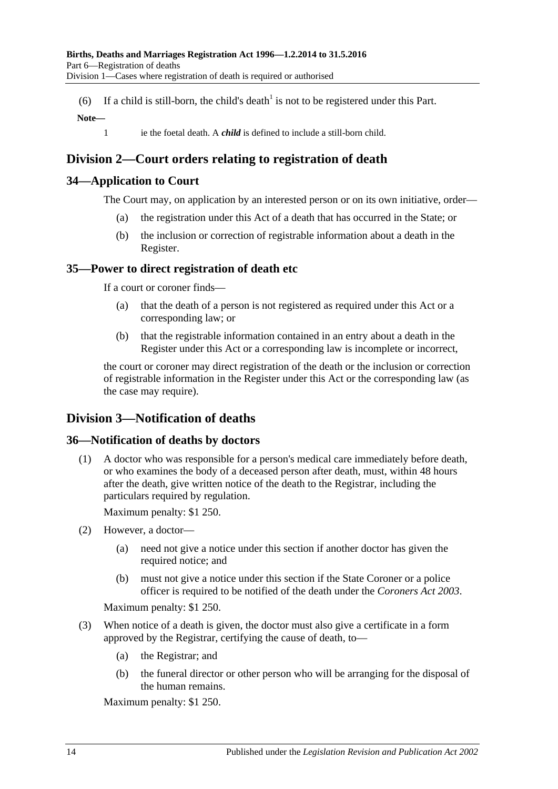(6) If a child is still-born, the child's death<sup>1</sup> is not to be registered under this Part.

#### **Note—**

1 ie the foetal death. A *child* is defined to include a still-born child.

## <span id="page-13-0"></span>**Division 2—Court orders relating to registration of death**

### <span id="page-13-1"></span>**34—Application to Court**

The Court may, on application by an interested person or on its own initiative, order—

- (a) the registration under this Act of a death that has occurred in the State; or
- (b) the inclusion or correction of registrable information about a death in the Register.

#### <span id="page-13-2"></span>**35—Power to direct registration of death etc**

If a court or coroner finds—

- (a) that the death of a person is not registered as required under this Act or a corresponding law; or
- (b) that the registrable information contained in an entry about a death in the Register under this Act or a corresponding law is incomplete or incorrect,

the court or coroner may direct registration of the death or the inclusion or correction of registrable information in the Register under this Act or the corresponding law (as the case may require).

## <span id="page-13-3"></span>**Division 3—Notification of deaths**

#### <span id="page-13-4"></span>**36—Notification of deaths by doctors**

(1) A doctor who was responsible for a person's medical care immediately before death, or who examines the body of a deceased person after death, must, within 48 hours after the death, give written notice of the death to the Registrar, including the particulars required by regulation.

Maximum penalty: \$1 250.

- (2) However, a doctor—
	- (a) need not give a notice under this section if another doctor has given the required notice; and
	- (b) must not give a notice under this section if the State Coroner or a police officer is required to be notified of the death under the *[Coroners Act](http://www.legislation.sa.gov.au/index.aspx?action=legref&type=act&legtitle=Coroners%20Act%202003) 2003*.

Maximum penalty: \$1 250.

- (3) When notice of a death is given, the doctor must also give a certificate in a form approved by the Registrar, certifying the cause of death, to—
	- (a) the Registrar; and
	- (b) the funeral director or other person who will be arranging for the disposal of the human remains.

Maximum penalty: \$1 250.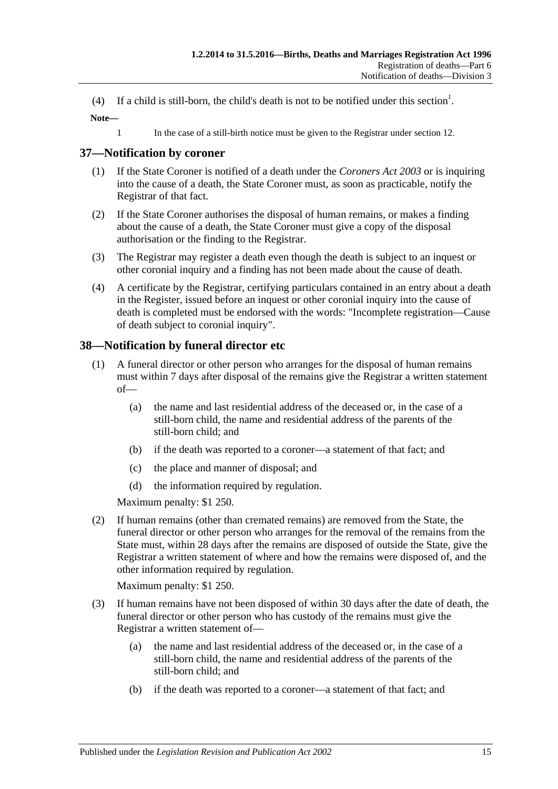- (4) If a child is still-born, the child's death is not to be notified under this section<sup>1</sup>.
- **Note—**
	- 1 In the case of a still-birth notice must be given to the Registrar under [section](#page-6-2) 12.

## <span id="page-14-0"></span>**37—Notification by coroner**

- (1) If the State Coroner is notified of a death under the *[Coroners Act](http://www.legislation.sa.gov.au/index.aspx?action=legref&type=act&legtitle=Coroners%20Act%202003) 2003* or is inquiring into the cause of a death, the State Coroner must, as soon as practicable, notify the Registrar of that fact.
- (2) If the State Coroner authorises the disposal of human remains, or makes a finding about the cause of a death, the State Coroner must give a copy of the disposal authorisation or the finding to the Registrar.
- (3) The Registrar may register a death even though the death is subject to an inquest or other coronial inquiry and a finding has not been made about the cause of death.
- (4) A certificate by the Registrar, certifying particulars contained in an entry about a death in the Register, issued before an inquest or other coronial inquiry into the cause of death is completed must be endorsed with the words: "Incomplete registration—Cause of death subject to coronial inquiry".

## <span id="page-14-1"></span>**38—Notification by funeral director etc**

- (1) A funeral director or other person who arranges for the disposal of human remains must within 7 days after disposal of the remains give the Registrar a written statement of—
	- (a) the name and last residential address of the deceased or, in the case of a still-born child, the name and residential address of the parents of the still-born child; and
	- (b) if the death was reported to a coroner—a statement of that fact; and
	- (c) the place and manner of disposal; and
	- (d) the information required by regulation.

Maximum penalty: \$1 250.

(2) If human remains (other than cremated remains) are removed from the State, the funeral director or other person who arranges for the removal of the remains from the State must, within 28 days after the remains are disposed of outside the State, give the Registrar a written statement of where and how the remains were disposed of, and the other information required by regulation.

Maximum penalty: \$1 250.

- (3) If human remains have not been disposed of within 30 days after the date of death, the funeral director or other person who has custody of the remains must give the Registrar a written statement of—
	- (a) the name and last residential address of the deceased or, in the case of a still-born child, the name and residential address of the parents of the still-born child; and
	- (b) if the death was reported to a coroner—a statement of that fact; and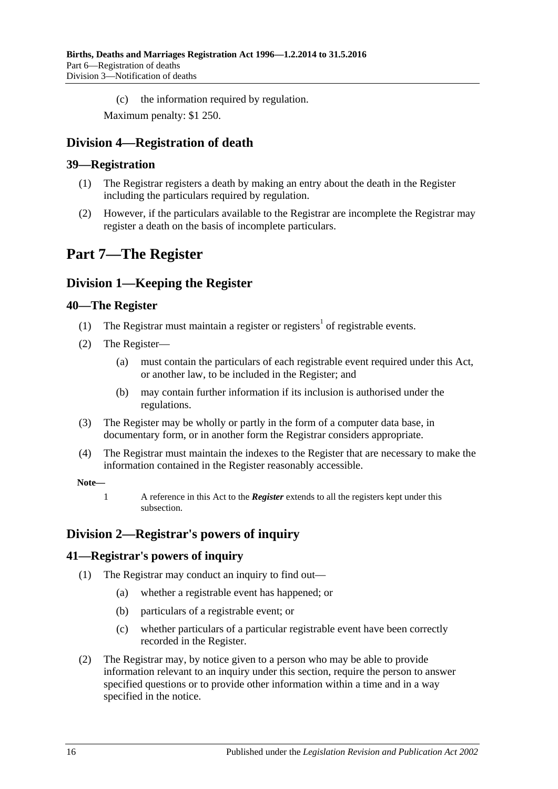(c) the information required by regulation.

Maximum penalty: \$1 250.

## <span id="page-15-0"></span>**Division 4—Registration of death**

### <span id="page-15-1"></span>**39—Registration**

- (1) The Registrar registers a death by making an entry about the death in the Register including the particulars required by regulation.
- (2) However, if the particulars available to the Registrar are incomplete the Registrar may register a death on the basis of incomplete particulars.

## <span id="page-15-2"></span>**Part 7—The Register**

## <span id="page-15-3"></span>**Division 1—Keeping the Register**

#### <span id="page-15-4"></span>**40—The Register**

- (1) The Registrar must maintain a register or registers<sup>1</sup> of registrable events.
- <span id="page-15-7"></span>(2) The Register—
	- (a) must contain the particulars of each registrable event required under this Act, or another law, to be included in the Register; and
	- (b) may contain further information if its inclusion is authorised under the regulations.
- (3) The Register may be wholly or partly in the form of a computer data base, in documentary form, or in another form the Registrar considers appropriate.
- (4) The Registrar must maintain the indexes to the Register that are necessary to make the information contained in the Register reasonably accessible.

#### **Note—**

1 A reference in this Act to the *Register* extends to all the registers kept under this subsection.

## <span id="page-15-5"></span>**Division 2—Registrar's powers of inquiry**

#### <span id="page-15-6"></span>**41—Registrar's powers of inquiry**

- (1) The Registrar may conduct an inquiry to find out—
	- (a) whether a registrable event has happened; or
	- (b) particulars of a registrable event; or
	- (c) whether particulars of a particular registrable event have been correctly recorded in the Register.
- <span id="page-15-8"></span>(2) The Registrar may, by notice given to a person who may be able to provide information relevant to an inquiry under this section, require the person to answer specified questions or to provide other information within a time and in a way specified in the notice.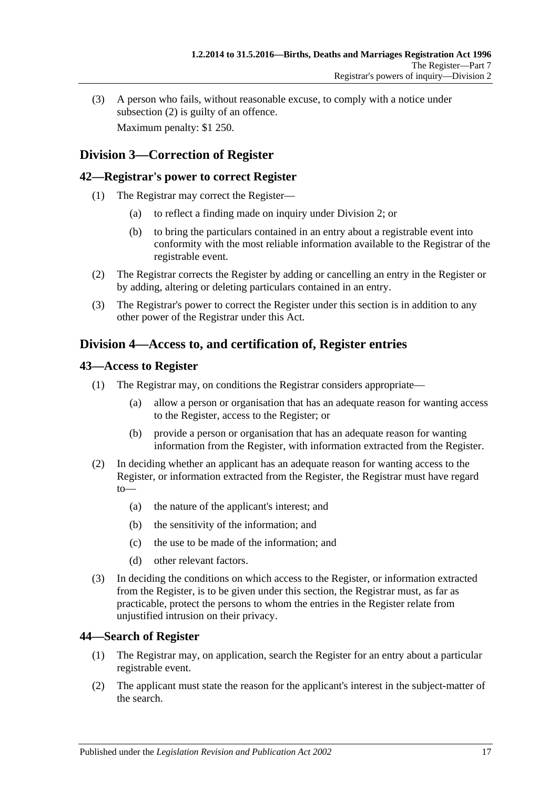(3) A person who fails, without reasonable excuse, to comply with a notice under [subsection](#page-15-8) (2) is guilty of an offence. Maximum penalty: \$1 250.

## <span id="page-16-0"></span>**Division 3—Correction of Register**

#### <span id="page-16-1"></span>**42—Registrar's power to correct Register**

- (1) The Registrar may correct the Register—
	- (a) to reflect a finding made on inquiry under [Division 2;](#page-15-5) or
	- (b) to bring the particulars contained in an entry about a registrable event into conformity with the most reliable information available to the Registrar of the registrable event.
- (2) The Registrar corrects the Register by adding or cancelling an entry in the Register or by adding, altering or deleting particulars contained in an entry.
- (3) The Registrar's power to correct the Register under this section is in addition to any other power of the Registrar under this Act.

## <span id="page-16-2"></span>**Division 4—Access to, and certification of, Register entries**

#### <span id="page-16-3"></span>**43—Access to Register**

- (1) The Registrar may, on conditions the Registrar considers appropriate—
	- (a) allow a person or organisation that has an adequate reason for wanting access to the Register, access to the Register; or
	- (b) provide a person or organisation that has an adequate reason for wanting information from the Register, with information extracted from the Register.
- (2) In deciding whether an applicant has an adequate reason for wanting access to the Register, or information extracted from the Register, the Registrar must have regard to—
	- (a) the nature of the applicant's interest; and
	- (b) the sensitivity of the information; and
	- (c) the use to be made of the information; and
	- (d) other relevant factors.
- (3) In deciding the conditions on which access to the Register, or information extracted from the Register, is to be given under this section, the Registrar must, as far as practicable, protect the persons to whom the entries in the Register relate from unjustified intrusion on their privacy.

#### <span id="page-16-4"></span>**44—Search of Register**

- (1) The Registrar may, on application, search the Register for an entry about a particular registrable event.
- (2) The applicant must state the reason for the applicant's interest in the subject-matter of the search.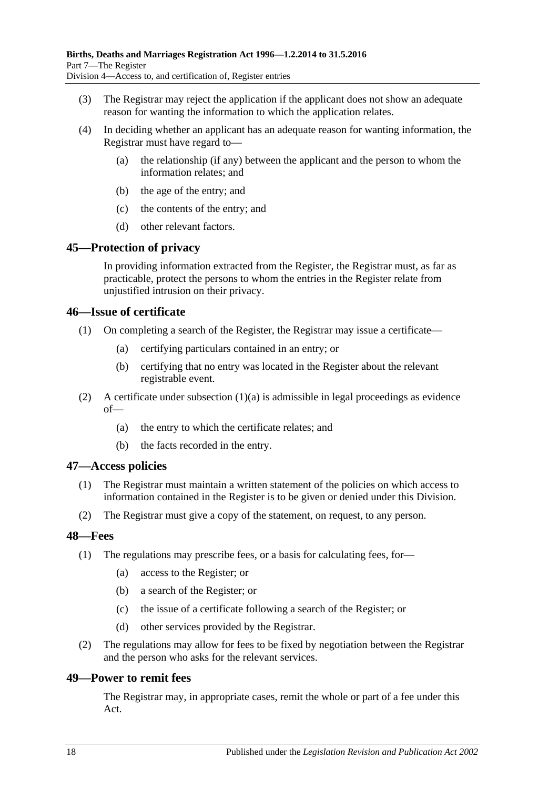- (3) The Registrar may reject the application if the applicant does not show an adequate reason for wanting the information to which the application relates.
- (4) In deciding whether an applicant has an adequate reason for wanting information, the Registrar must have regard to—
	- (a) the relationship (if any) between the applicant and the person to whom the information relates; and
	- (b) the age of the entry; and
	- (c) the contents of the entry; and
	- (d) other relevant factors.

### <span id="page-17-0"></span>**45—Protection of privacy**

In providing information extracted from the Register, the Registrar must, as far as practicable, protect the persons to whom the entries in the Register relate from unjustified intrusion on their privacy.

#### <span id="page-17-1"></span>**46—Issue of certificate**

- <span id="page-17-5"></span>(1) On completing a search of the Register, the Registrar may issue a certificate—
	- (a) certifying particulars contained in an entry; or
	- (b) certifying that no entry was located in the Register about the relevant registrable event.
- (2) A certificate under [subsection](#page-17-5)  $(1)(a)$  is admissible in legal proceedings as evidence of—
	- (a) the entry to which the certificate relates; and
	- (b) the facts recorded in the entry.

#### <span id="page-17-2"></span>**47—Access policies**

- (1) The Registrar must maintain a written statement of the policies on which access to information contained in the Register is to be given or denied under this Division.
- (2) The Registrar must give a copy of the statement, on request, to any person.

#### <span id="page-17-3"></span>**48—Fees**

- (1) The regulations may prescribe fees, or a basis for calculating fees, for—
	- (a) access to the Register; or
	- (b) a search of the Register; or
	- (c) the issue of a certificate following a search of the Register; or
	- (d) other services provided by the Registrar.
- (2) The regulations may allow for fees to be fixed by negotiation between the Registrar and the person who asks for the relevant services.

#### <span id="page-17-4"></span>**49—Power to remit fees**

The Registrar may, in appropriate cases, remit the whole or part of a fee under this Act.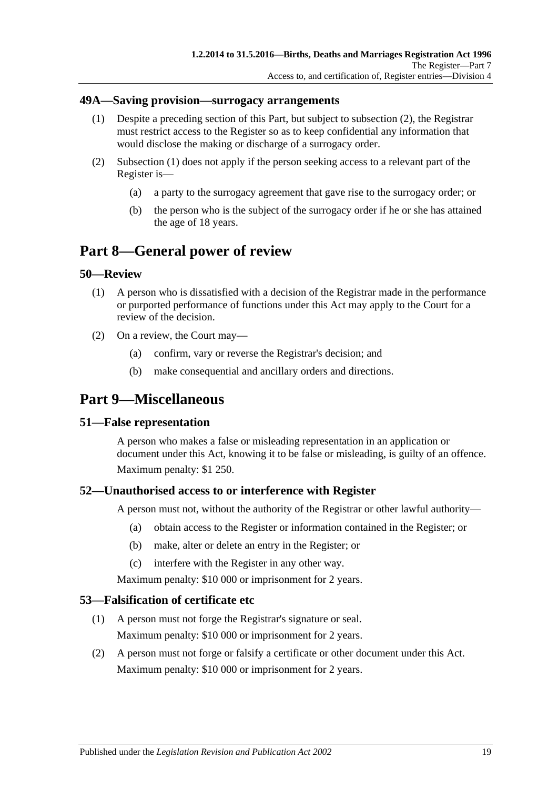#### <span id="page-18-8"></span><span id="page-18-0"></span>**49A—Saving provision—surrogacy arrangements**

- (1) Despite a preceding section of this Part, but subject to [subsection](#page-18-7) (2), the Registrar must restrict access to the Register so as to keep confidential any information that would disclose the making or discharge of a surrogacy order.
- <span id="page-18-7"></span>(2) [Subsection](#page-18-8) (1) does not apply if the person seeking access to a relevant part of the Register is—
	- (a) a party to the surrogacy agreement that gave rise to the surrogacy order; or
	- (b) the person who is the subject of the surrogacy order if he or she has attained the age of 18 years.

## <span id="page-18-1"></span>**Part 8—General power of review**

#### <span id="page-18-2"></span>**50—Review**

- (1) A person who is dissatisfied with a decision of the Registrar made in the performance or purported performance of functions under this Act may apply to the Court for a review of the decision.
- (2) On a review, the Court may—
	- (a) confirm, vary or reverse the Registrar's decision; and
	- (b) make consequential and ancillary orders and directions.

## <span id="page-18-3"></span>**Part 9—Miscellaneous**

#### <span id="page-18-4"></span>**51—False representation**

A person who makes a false or misleading representation in an application or document under this Act, knowing it to be false or misleading, is guilty of an offence. Maximum penalty: \$1 250.

#### <span id="page-18-5"></span>**52—Unauthorised access to or interference with Register**

A person must not, without the authority of the Registrar or other lawful authority—

- (a) obtain access to the Register or information contained in the Register; or
- (b) make, alter or delete an entry in the Register; or
- (c) interfere with the Register in any other way.

Maximum penalty: \$10 000 or imprisonment for 2 years.

#### <span id="page-18-6"></span>**53—Falsification of certificate etc**

- (1) A person must not forge the Registrar's signature or seal. Maximum penalty: \$10 000 or imprisonment for 2 years.
- (2) A person must not forge or falsify a certificate or other document under this Act. Maximum penalty: \$10 000 or imprisonment for 2 years.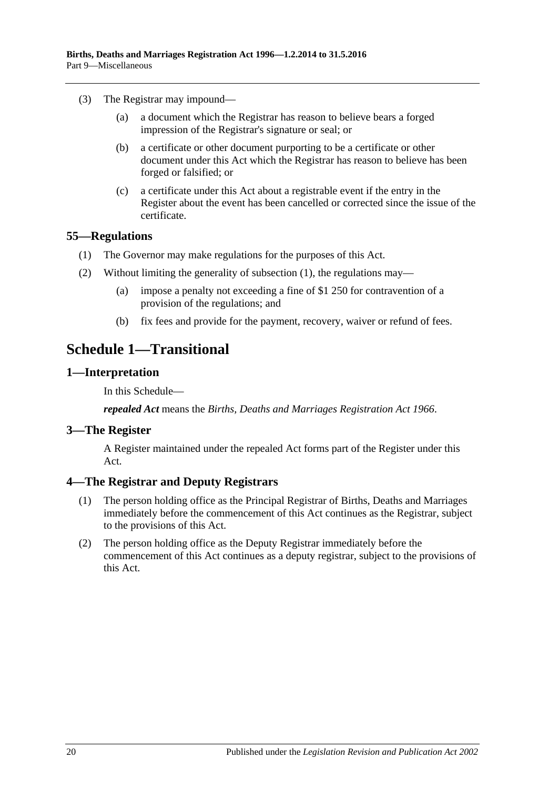- (3) The Registrar may impound—
	- (a) a document which the Registrar has reason to believe bears a forged impression of the Registrar's signature or seal; or
	- (b) a certificate or other document purporting to be a certificate or other document under this Act which the Registrar has reason to believe has been forged or falsified; or
	- (c) a certificate under this Act about a registrable event if the entry in the Register about the event has been cancelled or corrected since the issue of the certificate.

#### <span id="page-19-5"></span><span id="page-19-0"></span>**55—Regulations**

- (1) The Governor may make regulations for the purposes of this Act.
- (2) Without limiting the generality of [subsection](#page-19-5) (1), the regulations may—
	- (a) impose a penalty not exceeding a fine of \$1 250 for contravention of a provision of the regulations; and
	- (b) fix fees and provide for the payment, recovery, waiver or refund of fees.

## <span id="page-19-1"></span>**Schedule 1—Transitional**

#### <span id="page-19-2"></span>**1—Interpretation**

In this Schedule—

*repealed Act* means the *[Births, Deaths and Marriages Registration Act](http://www.legislation.sa.gov.au/index.aspx?action=legref&type=act&legtitle=Births%20Deaths%20and%20Marriages%20Registration%20Act%201966) 1966*.

#### <span id="page-19-3"></span>**3—The Register**

A Register maintained under the repealed Act forms part of the Register under this Act.

#### <span id="page-19-4"></span>**4—The Registrar and Deputy Registrars**

- (1) The person holding office as the Principal Registrar of Births, Deaths and Marriages immediately before the commencement of this Act continues as the Registrar, subject to the provisions of this Act.
- (2) The person holding office as the Deputy Registrar immediately before the commencement of this Act continues as a deputy registrar, subject to the provisions of this Act.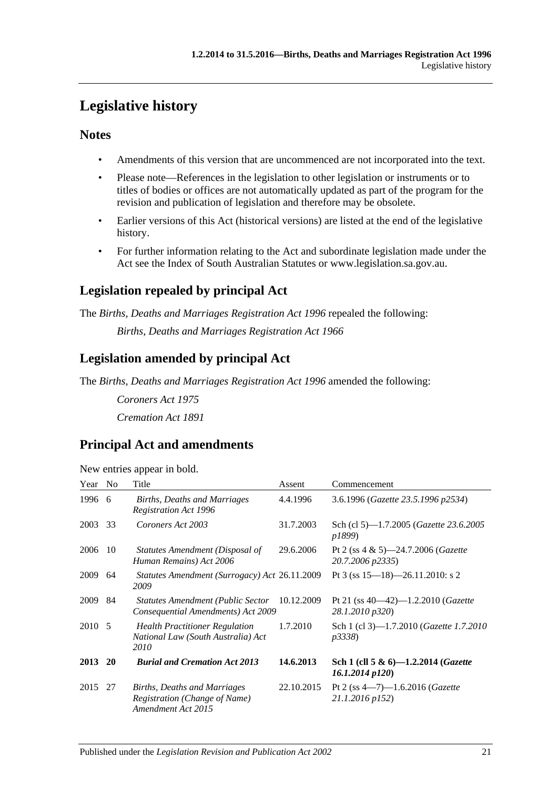# <span id="page-20-0"></span>**Legislative history**

## **Notes**

- Amendments of this version that are uncommenced are not incorporated into the text.
- Please note—References in the legislation to other legislation or instruments or to titles of bodies or offices are not automatically updated as part of the program for the revision and publication of legislation and therefore may be obsolete.
- Earlier versions of this Act (historical versions) are listed at the end of the legislative history.
- For further information relating to the Act and subordinate legislation made under the Act see the Index of South Australian Statutes or www.legislation.sa.gov.au.

## **Legislation repealed by principal Act**

The *Births, Deaths and Marriages Registration Act 1996* repealed the following:

*Births, Deaths and Marriages Registration Act 1966*

## **Legislation amended by principal Act**

The *Births, Deaths and Marriages Registration Act 1996* amended the following:

*Coroners Act 1975 Cremation Act 1891*

## **Principal Act and amendments**

| Year   | N <sub>o</sub> | Title                                                                                      | Assent     | Commencement                                                        |
|--------|----------------|--------------------------------------------------------------------------------------------|------------|---------------------------------------------------------------------|
| 1996   | - 6            | Births, Deaths and Marriages<br><b>Registration Act 1996</b>                               | 4.4.1996   | 3.6.1996 (Gazette 23.5.1996 p2534)                                  |
| 2003   | 33             | Coroners Act 2003                                                                          | 31.7.2003  | Sch (cl 5)—1.7.2005 ( <i>Gazette 23.6.2005</i><br>p1899)            |
| 2006   | 10             | Statutes Amendment (Disposal of<br>Human Remains) Act 2006                                 | 29.6.2006  | Pt 2 (ss $4 \& 5$ )—24.7.2006 ( <i>Gazette</i><br>20.7.2006 p2335)  |
| 2009   | 64             | Statutes Amendment (Surrogacy) Act 26.11.2009<br>2009                                      |            | Pt 3 (ss $15-18$ )-26.11.2010: s 2                                  |
| 2009   | 84             | <b>Statutes Amendment (Public Sector</b><br>Consequential Amendments) Act 2009             | 10.12.2009 | Pt 21 (ss $40-42$ )-1.2.2010 ( <i>Gazette</i><br>28.1.2010 p320)    |
| 2010 5 |                | <b>Health Practitioner Regulation</b><br>National Law (South Australia) Act<br>2010        | 1.7.2010   | Sch 1 (cl 3)-1.7.2010 ( <i>Gazette 1.7.2010</i><br><i>p</i> 3338)   |
| 2013   | <b>20</b>      | <b>Burial and Cremation Act 2013</b>                                                       | 14.6.2013  | Sch 1 (cll 5 & 6)-1.2.2014 ( <i>Gazette</i><br>$16.1.2014$ $p120$ ) |
| 2015   | 27             | <b>Births, Deaths and Marriages</b><br>Registration (Change of Name)<br>Amendment Act 2015 | 22.10.2015 | Pt 2 (ss $4-7$ )-1.6.2016 ( <i>Gazette</i><br>21.1.2016 p152)       |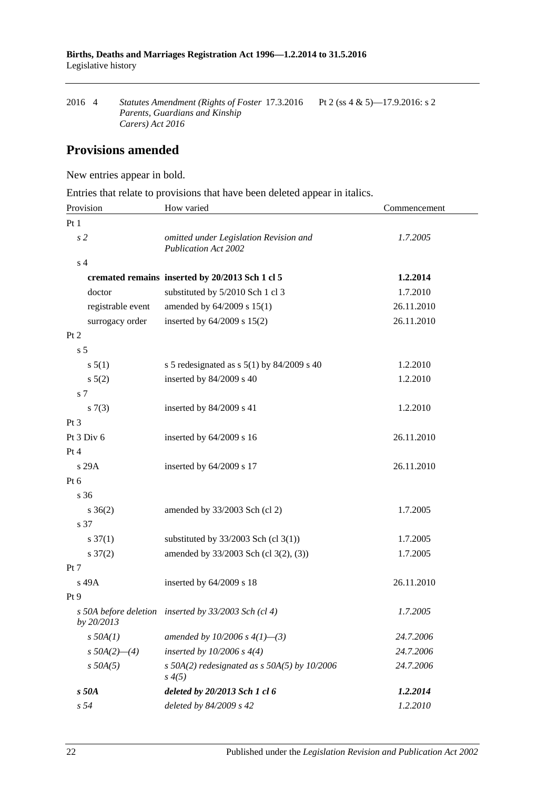| 2016 4 | Statutes Amendment (Rights of Foster 17.3.2016) | Pt 2 (ss 4 & 5)—17.9.2016: s 2 |
|--------|-------------------------------------------------|--------------------------------|
|        | Parents, Guardians and Kinship                  |                                |
|        | Carers) Act 2016                                |                                |

## **Provisions amended**

New entries appear in bold.

Entries that relate to provisions that have been deleted appear in italics.

| Provision           | How varied                                                            | Commencement |  |
|---------------------|-----------------------------------------------------------------------|--------------|--|
| Pt1                 |                                                                       |              |  |
| s <sub>2</sub>      | omitted under Legislation Revision and<br><b>Publication Act 2002</b> | 1.7.2005     |  |
| s <sub>4</sub>      |                                                                       |              |  |
|                     | cremated remains inserted by 20/2013 Sch 1 cl 5                       | 1.2.2014     |  |
| doctor              | substituted by 5/2010 Sch 1 cl 3                                      | 1.7.2010     |  |
| registrable event   | amended by 64/2009 s 15(1)                                            | 26.11.2010   |  |
| surrogacy order     | inserted by $64/2009$ s $15(2)$                                       | 26.11.2010   |  |
| Pt 2                |                                                                       |              |  |
| s <sub>5</sub>      |                                                                       |              |  |
| s 5(1)              | s 5 redesignated as s $5(1)$ by 84/2009 s 40                          | 1.2.2010     |  |
| $s\ 5(2)$           | inserted by 84/2009 s 40                                              | 1.2.2010     |  |
| s 7                 |                                                                       |              |  |
| s(7(3))             | inserted by 84/2009 s 41                                              | 1.2.2010     |  |
| $Pt\,3$             |                                                                       |              |  |
| Pt 3 Div 6          | inserted by $64/2009$ s 16                                            | 26.11.2010   |  |
| Pt 4                |                                                                       |              |  |
| s 29A               | inserted by 64/2009 s 17                                              | 26.11.2010   |  |
| Pt 6                |                                                                       |              |  |
| s 36                |                                                                       |              |  |
| $s \; 36(2)$        | amended by $33/2003$ Sch (cl 2)                                       | 1.7.2005     |  |
| s 37                |                                                                       |              |  |
| $s \frac{37(1)}{2}$ | substituted by $33/2003$ Sch (cl 3(1))                                | 1.7.2005     |  |
| $s \frac{37(2)}{2}$ | amended by 33/2003 Sch (cl 3(2), (3))                                 | 1.7.2005     |  |
| Pt 7                |                                                                       |              |  |
| s 49A               | inserted by $64/2009$ s 18                                            | 26.11.2010   |  |
| Pt <sub>9</sub>     |                                                                       |              |  |
| by 20/2013          | s 50A before deletion inserted by 33/2003 Sch (cl 4)                  | 1.7.2005     |  |
| $s$ 50A(1)          | amended by 10/2006 s $4(1)$ —(3)                                      | 24.7.2006    |  |
| $s$ 50A(2)–(4)      | inserted by $10/2006$ s $4(4)$                                        | 24.7.2006    |  |
| $s$ 50A(5)          | s 50A(2) redesignated as s 50A(5) by $10/2006$<br>$s \, 4(5)$         | 24.7.2006    |  |
| s 50A               | deleted by 20/2013 Sch 1 cl 6                                         | 1.2.2014     |  |
| s 54                | deleted by 84/2009 s 42                                               | 1.2.2010     |  |